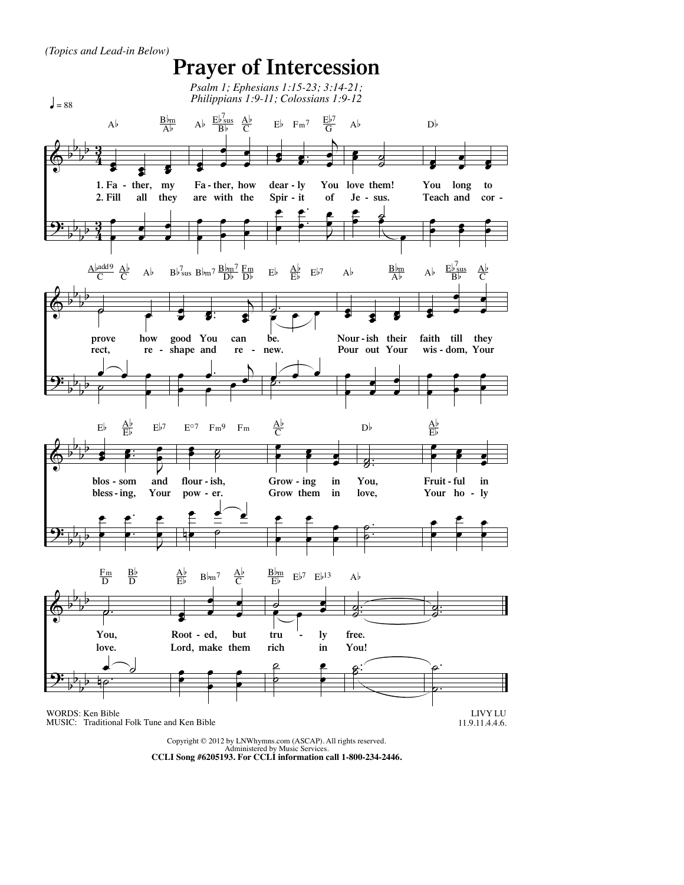

Copyright © 2012 by LNWhymns.com (ASCAP). All rights reserved. Administered by Music Services. **CCLI Song #6205193. For CCLI information call 1-800-234-2446.**